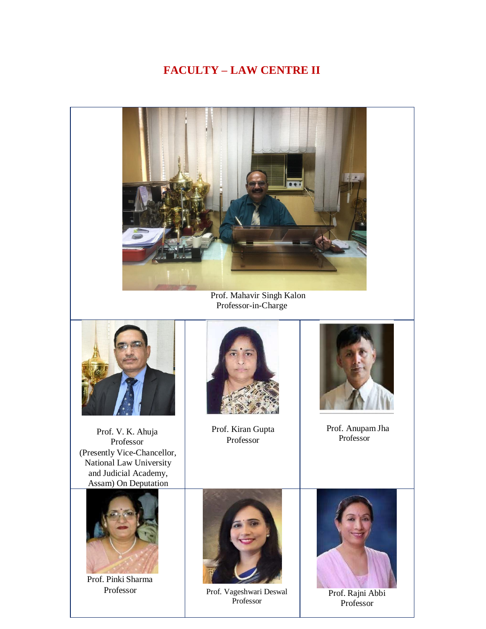## **FACULTY – LAW CENTRE II**



Prof. Mahavir Singh Kalon Professor-in-Charge



Prof. V. K. Ahuja Professor (Presently Vice-Chancellor, National Law University and Judicial Academy, Assam) On Deputation



Prof. Pinki Sharma



Prof. Kiran Gupta Professor



 Prof. Anupam Jha Professor



Professor Prof. Vageshwari Deswal Professor



Prof. Rajni Abbi Professor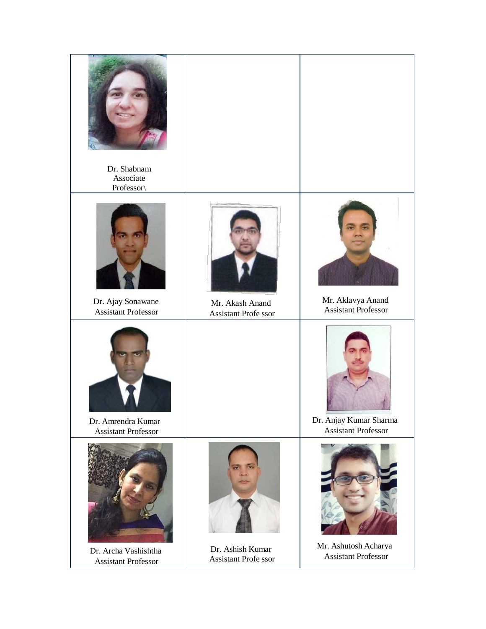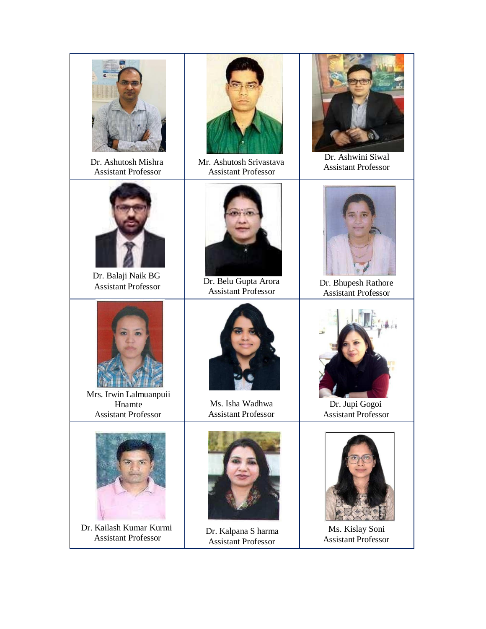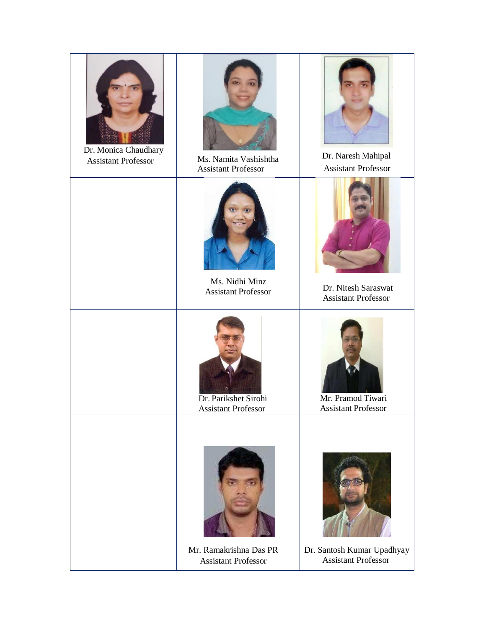